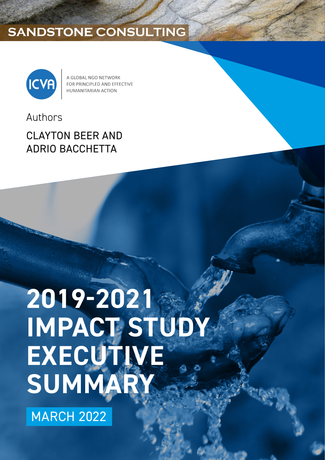# **SANDSTONE CONSULTING**



A GLOBAL NGO NETWORK FOR PRINCIPLED AND EFFECTIVE **HUMANITARIAN ACTION** 

# Authors CLAYTON BEER AND ADRIO BACCHETTA

# **2019-2021 IMPACT STUDY EXECUTIVE SUMMARY**

**MARCH 2022**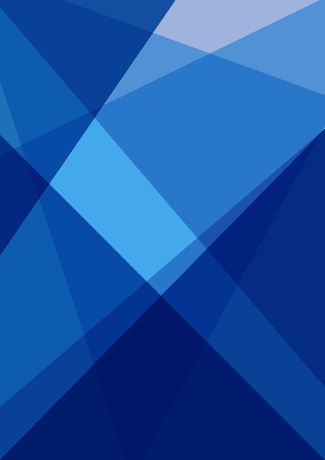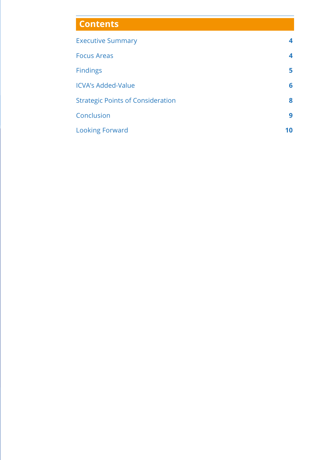## **Contents**

| <b>Executive Summary</b>                 | 4  |
|------------------------------------------|----|
| <b>Focus Areas</b>                       | 4  |
| <b>Findings</b>                          | 5  |
| <b>ICVA's Added-Value</b>                | 6  |
| <b>Strategic Points of Consideration</b> | 8  |
| Conclusion                               | 9  |
| <b>Looking Forward</b>                   | 10 |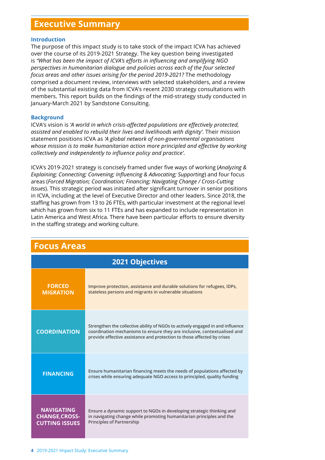### **Executive Summary**

#### **Introduction**

The purpose of this impact study is to take stock of the impact ICVA has achieved over the course of its 2019-2021 Strategy. The key question being investigated is "What has been the impact of ICVA's efforts in influencing and amplifying NGO *perspectives in humanitarian dialogue and policies across each of the four selected focus areas and other issues arising for the period 2019-2021?* The methodology comprised a document review, interviews with selected stakeholders, and a review of the substantial existing data from ICVA's recent 2030 strategy consultations with members. This report builds on the findings of the mid-strategy study conducted in January-March 2021 by Sandstone Consulting.

#### **Background**

ICVA's vision is *'A world in which crisis-affected populations are effectively protected, assisted and enabled to rebuild their lives and livelihoods with dignity'*. Their mission statement positions ICVA as *'A global network of non-governmental organisations whose mission is to make humanitarian action more principled and effective by working collectively and independently to influence policy and practice'*.

ICVA's 2019-2021 strategy is concisely framed under five ways of working (*Analyzing & Explaining; Connecting; Convening; �nfluencing & Advocating; Supporting*) and four focus areas (*Forced Migration; Coordination; Financing; Navigating Change / Cross-Cutting �ssues*). This strategic period was initiated after significant turnover in senior positions in ICVA, including at the level of Executive Director and other leaders. Since 2018, the staffing has grown from 13 to 26 FTEs, with particular investment at the regional level which has grown from six to 11 FTEs and has expanded to include representation in Latin America and West Africa. There have been particular efforts to ensure diversity in the staffing strategy and working culture.

| <b>2021 Objectives</b>                                              |                                                                                                                                                                                                                                       |  |  |
|---------------------------------------------------------------------|---------------------------------------------------------------------------------------------------------------------------------------------------------------------------------------------------------------------------------------|--|--|
| <b>FORCED</b><br><b>MIGRATION</b>                                   | Improve protection, assistance and durable solutions for refugees, IDPs,<br>stateless persons and migrants in vulnerable situations                                                                                                   |  |  |
| <b>COORDINATION</b>                                                 | Strengthen the collective ability of NGOs to actively engaged in and influence<br>coordination mechanisms to ensure they are inclusive, contextualised and<br>provide effective assistance and protection to those affected by crises |  |  |
| <b>FINANCING</b>                                                    | Ensure humanitarian financing meets the needs of populations affected by<br>crises while ensuring adequate NGO access to principled, quality funding                                                                                  |  |  |
| <b>NAVIGATING</b><br><b>CHANGE, CROSS-</b><br><b>CUTTING ISSUES</b> | Ensure a dynamic support to NGOs in developing strategic thinking and<br>in navigating change while promoting humanitarian principles and the<br><b>Principles of Partnership</b>                                                     |  |  |

## **Focus Areas**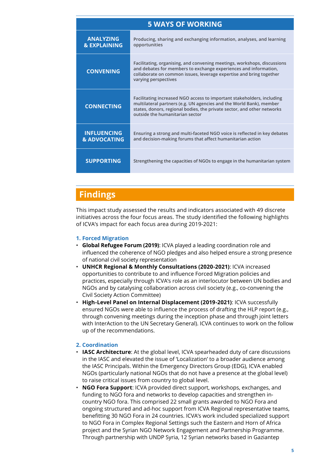| <b>5 WAYS OF WORKING</b>                      |                                                                                                                                                                                                                                                             |  |
|-----------------------------------------------|-------------------------------------------------------------------------------------------------------------------------------------------------------------------------------------------------------------------------------------------------------------|--|
| <b>ANALYZING</b><br>& EXPLAINING              | Producing, sharing and exchanging information, analyses, and learning<br>opportunities                                                                                                                                                                      |  |
| <b>CONVENING</b>                              | Facilitating, organising, and convening meetings, workshops, discussions<br>and debates for members to exchange experiences and information,<br>collaborate on common issues, leverage expertise and bring together<br>varying perspectives                 |  |
| <b>CONNECTING</b>                             | Facilitating increased NGO access to important stakeholders, including<br>multilateral partners (e.g. UN agencies and the World Bank), member<br>states, donors, regional bodies, the private sector, and other networks<br>outside the humanitarian sector |  |
| <b>INFLUENCING</b><br><b>&amp; ADVOCATING</b> | Ensuring a strong and multi-faceted NGO voice is reflected in key debates<br>and decision-making forums that affect humanitarian action                                                                                                                     |  |
| <b>SUPPORTING</b>                             | Strengthening the capacities of NGOs to engage in the humanitarian system                                                                                                                                                                                   |  |

## **Findings**

This impact study assessed the results and indicators associated with 49 discrete initiatives across the four focus areas. The study identified the following highlights of ICVA's impact for each focus area during 2019-2021:

#### **1. Forced Migration**

- **Global Refugee Forum (2019)**: ICVA played a leading coordination role and influenced the coherence of NGO pledges and also helped ensure a strong presence of national civil society representation
- **UNHCR Regional & Monthly Consultations (2020-2021)**: ICVA increased opportunities to contribute to and influence Forced Migration policies and practices, especially through ICVA's role as an interlocutor between UN bodies and NGOs and by catalysing collaboration across civil society (e.g., co-convening the Civil Society Action Committee)
- **High-Level Panel on Internal Displacement (2019-2021)**: ICVA successfully ensured NGOs were able to influence the process of drafting the HLP report (e.g., through convening meetings during the inception phase and through joint letters with InterAction to the UN Secretary General). ICVA continues to work on the follow up of the recommendations.

#### **2. Coordination**

- **IASC Architecture**: At the global level, ICVA spearheaded duty of care discussions in the IASC and elevated the issue of 'Localization' to a broader audience among the IASC Principals. Within the Emergency Directors Group (EDG), ICVA enabled NGOs (particularly national NGOs that do not have a presence at the global level) to raise critical issues from country to global level.
- **NGO Fora Support**: ICVA provided direct support, workshops, exchanges, and funding to NGO fora and networks to develop capacities and strengthen incountry NGO fora. This comprised 22 small grants awarded to NGO Fora and ongoing structured and ad-hoc support from ICVA Regional representative teams, benefitting 30 NGO Fora in 24 countries. ICVA's work included specialized support to NGO Fora in Complex Regional Settings such the Eastern and Horn of Africa project and the Syrian NGO Network Engagement and Partnership Programme. Through partnership with UNDP Syria, 12 Syrian networks based in Gaziantep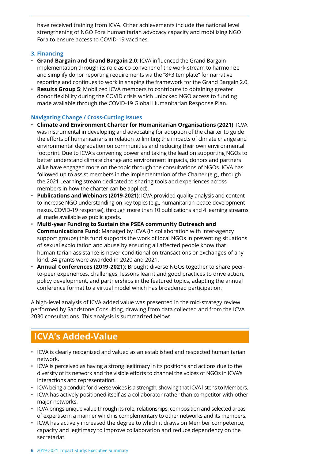have received training from ICVA. Other achievements include the national level strengthening of NGO Fora humanitarian advocacy capacity and mobilizing NGO Fora to ensure access to COVID-19 vaccines.

#### **3. Financing**

- **Grand Bargain and Grand Bargain 2.0**: ICVA influenced the Grand Bargain implementation through its role as co-convener of the work-stream to harmonize and simplify donor reporting requirements via the "8+3 template" for narrative reporting and continues to work in shaping the framework for the Grand Bargain 2.0.
- **Results Group 5**: Mobilized ICVA members to contribute to obtaining greater donor flexibility during the COVID crisis which unlocked NGO access to funding made available through the COVID-19 Global Humanitarian Response Plan.

#### **Navigating Change / Cross-Cutting Issues**

- **Climate and Environment Charter for Humanitarian Organisations (2021)**: ICVA was instrumental in developing and advocating for adoption of the charter to guide the efforts of humanitarians in relation to limiting the impacts of climate change and environmental degradation on communities and reducing their own environmental footprint. Due to ICVA's convening power and taking the lead on supporting NGOs to better understand climate change and environment impacts, donors and partners alike have engaged more on the topic through the consultations of NGOs. ICVA has followed up to assist members in the implementation of the Charter (e.g., through the 2021 Learning stream dedicated to sharing tools and experiences across members in how the charter can be applied).
- **Publications and Webinars (2019-2021)**: ICVA provided quality analysis and content to increase NGO understanding on key topics (e.g., humanitarian-peace-development nexus, COVID-19 response), through more than 10 publications and 4 learning streams all made available as public goods.
- **Multi-year Funding to Sustain the PSEA community Outreach and Communications Fund**: Managed by ICVA (in collaboration with inter-agency support groups) this fund supports the work of local NGOs in preventing situations of sexual exploitation and abuse by ensuring all affected people know that humanitarian assistance is never conditional on transactions or exchanges of any kind. 34 grants were awarded in 2020 and 2021.
- **Annual Conferences (2019-2021)**: Brought diverse NGOs together to share peerto-peer experiences, challenges, lessons learnt and good practices to drive action, policy development, and partnerships in the featured topics, adapting the annual conference format to a virtual model which has broadened participation.

A high-level analysis of ICVA added value was presented in the mid-strategy review performed by Sandstone Consulting, drawing from data collected and from the ICVA 2030 consultations. This analysis is summarized below:

## **ICVA's Added-Value**

- ICVA is clearly recognized and valued as an established and respected humanitarian network.
- ICVA is perceived as having a strong legitimacy in its positions and actions due to the diversity of its network and the visible efforts to channel the voices of NGOs in ICVA's interactions and representation.
- ICVA being a conduit for diverse voices is a strength, showing that ICVA listens to Members.
- ICVA has actively positioned itself as a collaborator rather than competitor with other major networks.
- ICVA brings unique value through its role, relationships, composition and selected areas of expertise in a manner which is complementary to other networks and its members.
- ICVA has actively increased the degree to which it draws on Member competence, capacity and legitimacy to improve collaboration and reduce dependency on the secretariat.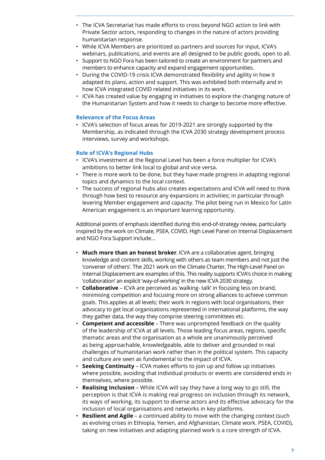- The ICVA Secretariat has made efforts to cross beyond NGO action to link with Private Sector actors, responding to changes in the nature of actors providing humanitarian response.
- While ICVA Members are prioritized as partners and sources for input, ICVA's webinars, publications, and events are all designed to be public goods, open to all.
- Support to NGO Fora has been tailored to create an environment for partners and members to enhance capacity and expand engagement opportunities.
- During the COVID-19 crisis ICVA demonstrated flexibility and agility in how it adapted its plans, action and support. This was exhibited both internally and in how ICVA integrated COVID related initiatives in its work.
- ICVA has created value by engaging in initiatives to explore the changing nature of the Humanitarian System and how it needs to change to become more effective.

#### **Relevance of the Focus Areas**

• ICVA's selection of focus areas for 2019-2021 are strongly supported by the Membership, as indicated through the ICVA 2030 strategy development process interviews, survey and workshops.

#### **Role of ICVA's Regional Hubs**

- ICVA's investment at the Regional Level has been a force multiplier for ICVA's ambitions to better link local to global and vice versa.
- There is more work to be done, but they have made progress in adapting regional topics and dynamics to the local context.
- The success of regional hubs also creates expectations and ICVA will need to think through how best to resource any expansions in activities; in particular through levering Member engagement and capacity. The pilot being run in Mexico for Latin American engagement is an important learning opportunity.

Additional points of emphasis identified during this end-of-strategy review, particularly inspired by the work on Climate, PSEA, COVID, High Level Panel on Internal Displacement and NGO Fora Support include…

- **Much more than an honest broker**. ICVA are a collaborative agent, bringing knowledge and content skills, working with others as team members and not just the 'convener of others'. The 2021 work on the Climate Charter, The High-Level Panel on Internal Displacement are examples of this. This reality supports ICVA's choice in making 'collaboration' an explicit 'way-of-working' in the new ICVA 2030 strategy.
- **Collaborative** ICVA are perceived as 'walking- talk' in focusing less on brand, minimising competition and focusing more on strong alliances to achieve common goals. This applies at all levels; their work in regions with local organisations, their advocacy to get local organisations represented in international platforms, the way they gather data, the way they comprise steering committees etc.
- **Competent and accessible**  There was unprompted feedback on the quality of the leadership of ICVA at all levels. Those leading focus areas, regions, specific thematic areas and the organisation as a whole are unanimously perceived as being approachable, knowledgeable, able to deliver and grounded in real challenges of humanitarian work rather than in the political system. This capacity and culture are seen as fundamental to the impact of ICVA.
- **Seeking Continuity** ICVA makes efforts to join up and follow up initiatives where possible, avoiding that individual products or events are considered ends in themselves, where possible.
- **Realising Inclusion** While ICVA will say they have a long way to go still, the perception is that ICVA is making real progress on inclusion through its network, its ways of working, its support to diverse actors and its effective advocacy for the inclusion of local organisations and networks in key platforms.
- **Resilient and Agile** a continued ability to move with the changing context (such as evolving crises in Ethiopia, Yemen, and Afghanistan, Climate work. PSEA, COVID), taking on new initiatives and adapting planned work is a core strength of ICVA.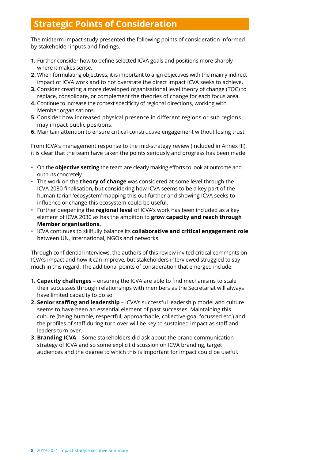## **Strategic Points of Consideration**

The midterm impact study presented the following points of consideration informed by stakeholder inputs and findings.

- **1.** Further consider how to define selected ICVA goals and positions more sharply where it makes sense.
- **2.** When formulating objectives, it is important to align objectives with the mainly indirect impact of ICVA work and to not overstate the direct impact ICVA seeks to achieve.
- **3.** Consider creating a more developed organisational level theory of change (TOC) to replace, consolidate, or complement the theories of change for each focus area.
- **4.** Continue to increase the context specificity of regional directions, working with Member organisations.
- **5.** Consider how increased physical presence in different regions or sub regions may impact public positions.
- **6.** Maintain attention to ensure critical constructive engagement without losing trust.

From ICVA's management response to the mid-strategy review (included in Annex III), it is clear that the team have taken the points seriously and progress has been made.

- On the **objective setting** the team are clearly making efforts to look at outcome and outputs concretely.
- The work on the **theory of change** was considered at some level through the ICVA 2030 finalisation, but considering how ICVA seems to be a key part of the humanitarian 'ecosystem' mapping this out further and showing ICVA seeks to influence or change this ecosystem could be useful.
- Further deepening the **regional level** of ICVA's work has been included as a key element of ICVA 2030 as has the ambition to **grow capacity and reach through Member organisations.**
- ICVA continues to skilfully balance its **collaborative and critical engagement role** between UN, International, NGOs and networks.

Through confidential interviews, the authors of this review invited critical comments on ICVA's impact and how it can improve, but stakeholders interviewed struggled to say much in this regard. The additional points of consideration that emerged include:

- **1. Capacity challenges** ensuring the ICVA are able to find mechanisms to scale their successes through relationships with members as the Secretariat will always have limited capacity to do so.
- **2. Senior staffing and leadership** ICVA's successful leadership model and culture seems to have been an essential element of past successes. Maintaining this culture (being humble, respectful, approachable, collective-goal focussed etc.) and the profiles of staff during turn over will be key to sustained impact as staff and leaders turn over.
- **3. Branding ICVA** Some stakeholders did ask about the brand communication strategy of ICVA and so some explicit discussion on ICVA branding, target audiences and the degree to which this is important for impact could be useful.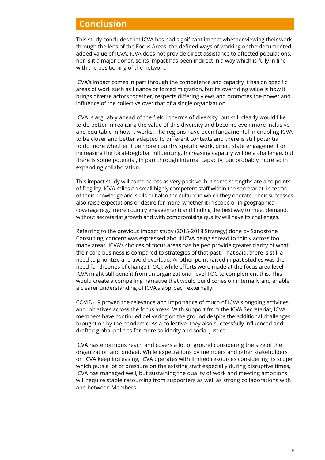## **Conclusion**

This study concludes that ICVA has had significant impact whether viewing their work through the lens of the Focus Areas, the defined ways of working or the documented added value of ICVA. ICVA does not provide direct assistance to affected populations, nor is it a major donor, so its impact has been indirect in a way which is fully in line with the positioning of the network.

ICVA's impact comes in part through the competence and capacity it has on specific areas of work such as finance or forced migration, but its overriding value is how it brings diverse actors together, respects differing views and promotes the power and influence of the collective over that of a single organization.

ICVA is arguably ahead of the field in terms of diversity, but still clearly would like to do better in realizing the value of this diversity and become even more inclusive and equitable in how it works. The regions have been fundamental in enabling ICVA to be closer and better adapted to different contexts and there is still potential to do more whether it be more country specific work, direct state engagement or increasing the local-to-global influencing. Increasing capacity will be a challenge, but there is some potential, in part through internal capacity, but probably more so in expanding collaboration.

This impact study will come across as very positive, but some strengths are also points of fragility. ICVA relies on small highly competent staff within the secretariat, in terms of their knowledge and skills but also the culture in which they operate. Their successes also raise expectations or desire for more, whether it in scope or in geographical coverage (e.g., more country engagement) and finding the best way to meet demand, without secretariat growth and with compromising quality will have its challenges.

Referring to the previous impact study (2015-2018 Strategy) done by Sandstone Consulting, concern was expressed about ICVA being spread to thinly across too many areas. ICVA's choices of focus areas has helped provide greater clarity of what their core business is compared to strategies of that past. That said, there is still a need to prioritize and avoid overload. Another point raised in past studies was the need for theories of change (TOC); while efforts were made at the focus area level ICVA might still benefit from an organizational level TOC to complement this. This would create a compelling narrative that would build cohesion internally and enable a clearer understanding of ICVA's approach externally.

COVID-19 proved the relevance and importance of much of ICVA's ongoing activities and initiatives across the focus areas. With support from the ICVA Secretariat, ICVA members have continued delivering on the ground despite the additional challenges brought on by the pandemic. As a collective, they also successfully influenced and drafted global policies for more solidarity and social justice.

ICVA has enormous reach and covers a lot of ground considering the size of the organization and budget. While expectations by members and other stakeholders on ICVA keep increasing, ICVA operates with limited resources considering its scope, which puts a lot of pressure on the existing staff especially during disruptive times, ICVA has managed well, but sustaining the quality of work and meeting ambitions will require stable resourcing from supporters as well as strong collaborations with and between Members.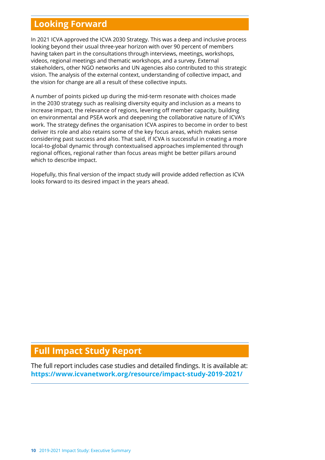## **Looking Forward**

In 2021 ICVA approved the ICVA 2030 Strategy. This was a deep and inclusive process looking beyond their usual three-year horizon with over 90 percent of members having taken part in the consultations through interviews, meetings, workshops, videos, regional meetings and thematic workshops, and a survey. External stakeholders, other NGO networks and UN agencies also contributed to this strategic vision. The analysis of the external context, understanding of collective impact, and the vision for change are all a result of these collective inputs.

A number of points picked up during the mid-term resonate with choices made in the 2030 strategy such as realising diversity equity and inclusion as a means to increase impact, the relevance of regions, levering off member capacity, building on environmental and PSEA work and deepening the collaborative nature of ICVA's work. The strategy defines the organisation ICVA aspires to become in order to best deliver its role and also retains some of the key focus areas, which makes sense considering past success and also. That said, if ICVA is successful in creating a more local-to-global dynamic through contextualised approaches implemented through regional offices, regional rather than focus areas might be better pillars around which to describe impact.

Hopefully, this final version of the impact study will provide added reflection as ICVA looks forward to its desired impact in the years ahead.

## **Full Impact Study Report**

The full report includes case studies and detailed findings. It is available at: **https://www.icvanetwork.org/resource/impact-study-2019-2021/**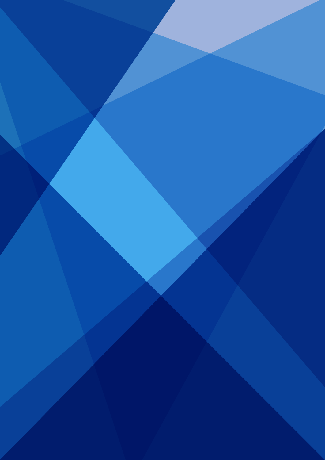